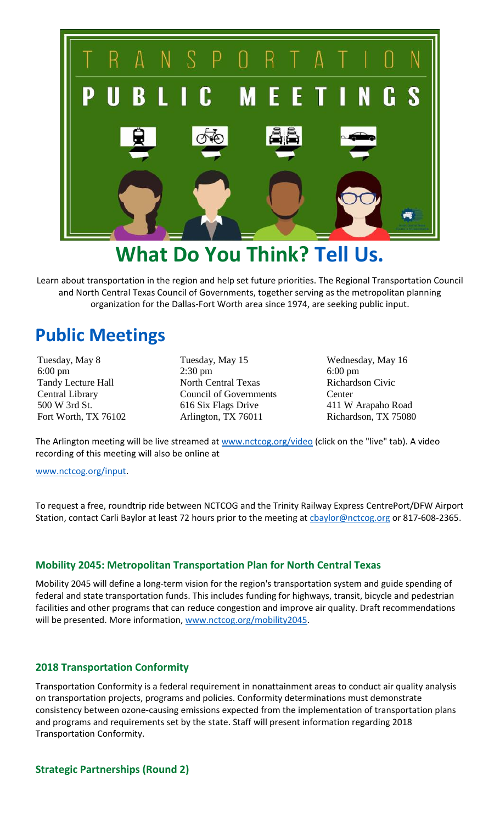

## **What Do You Think? Tell Us.**

Learn about transportation in the region and help set future priorities. The Regional Transportation Council and North Central Texas Council of Governments, together serving as the metropolitan planning organization for the Dallas-Fort Worth area since 1974, are seeking public input.

### **Public Meetings**

Tuesday, May 8 6:00 pm Tandy Lecture Hall Central Library 500 W 3rd St. Fort Worth, TX 76102 Tuesday, May 15 2:30 pm North Central Texas Council of Governments 616 Six Flags Drive Arlington, TX 76011

Wednesday, May 16 6:00 pm Richardson Civic Center 411 W Arapaho Road Richardson, TX 75080

The Arlington meeting will be live streamed at [www.nctcog.org/video](http://www.nctcog.org/video) (click on the "live" tab). A video recording of this meeting will also be online at

#### [www.nctcog.org/input.](http://www.nctcog.org/input)

To request a free, roundtrip ride between NCTCOG and the Trinity Railway Express CentrePort/DFW Airport Station, contact Carli Baylor at least 72 hours prior to the meeting at chaylor@nctcog.org or 817-608-2365.

#### **Mobility 2045: Metropolitan Transportation Plan for North Central Texas**

Mobility 2045 will define a long-term vision for the region's transportation system and guide spending of federal and state transportation funds. This includes funding for highways, transit, bicycle and pedestrian facilities and other programs that can reduce congestion and improve air quality. Draft recommendations will be presented. More information[, www.nctcog.org/mobility2045.](http://www.nctcog.org/mobility2045)

#### **2018 Transportation Conformity**

Transportation Conformity is a federal requirement in nonattainment areas to conduct air quality analysis on transportation projects, programs and policies. Conformity determinations must demonstrate consistency between ozone-causing emissions expected from the implementation of transportation plans and programs and requirements set by the state. Staff will present information regarding 2018 Transportation Conformity.

#### **Strategic Partnerships (Round 2)**